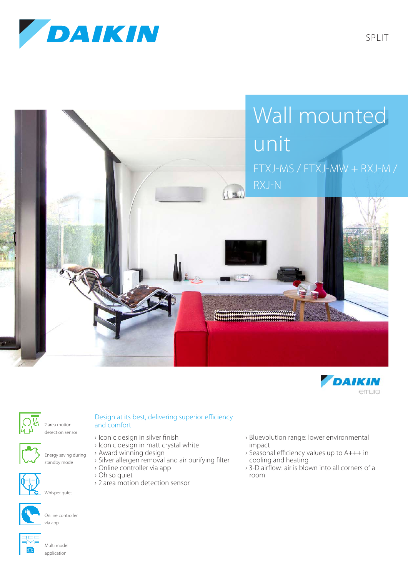







2 area motion detection sensor



Energy saving during standby mode



Whisper quiet



Online controller via app



Multi model application

## Design at its best, delivering superior efficiency and comfort

- › Iconic design in silver finish
- › Iconic design in matt crystal white
- › Award winning design
- › Silver allergen removal and air purifying filter
- › Online controller via app › Oh so quiet
- › 2 area motion detection sensor
- › Bluevolution range: lower environmental impact
- › Seasonal efficiency values up to A+++ in cooling and heating
- › 3-D airflow: air is blown into all corners of a room